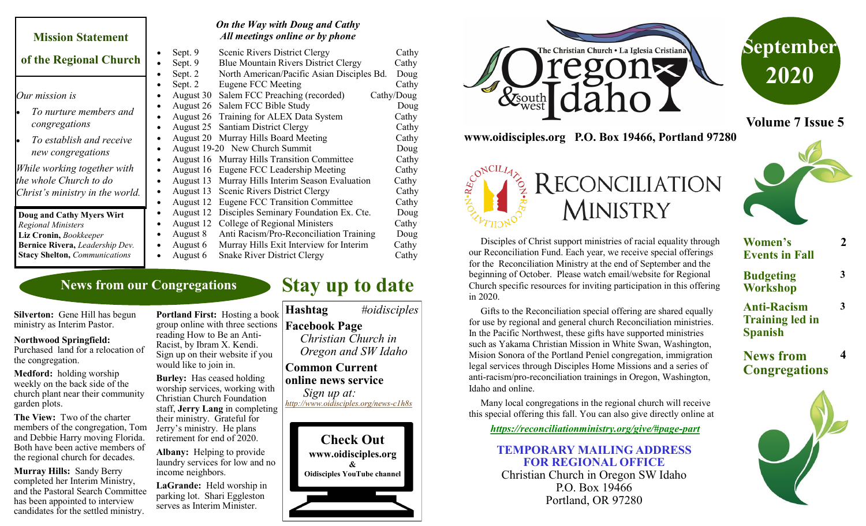#### **Mission Statement**

#### **of the Regional Church**

*Our mission is*

- *To nurture members and congregations*
- *To establish and receive new congregations*

*While working together with the whole Church to do Christ's ministry in the world.*

**Doug and Cathy Myers Wirt**  *Regional Ministers* **Liz Cronin,** *Bookkeeper* **Bernice Rivera,** *Leadership Dev.* **Stacy Shelton,** *Communications*

# *On the Way with Doug and Cathy All meetings online or by phone*

|           | Sept. 9   | <b>Scenic Rivers District Clergy</b>               | Cathy      |
|-----------|-----------|----------------------------------------------------|------------|
|           | Sept. 9   | <b>Blue Mountain Rivers District Clergy</b>        | Cathy      |
|           | Sept. 2   | North American/Pacific Asian Disciples Bd.         | Doug       |
| $\bullet$ | Sept. 2   | Eugene FCC Meeting                                 | Cathy      |
|           | August 30 | Salem FCC Preaching (recorded)                     | Cathy/Doug |
|           | August 26 | Salem FCC Bible Study                              | Doug       |
|           | August 26 | Training for ALEX Data System                      | Cathy      |
|           | August 25 | <b>Santiam District Clergy</b>                     | Cathy      |
|           | August 20 | Murray Hills Board Meeting                         | Cathy      |
|           |           | August 19-20 New Church Summit                     | Doug       |
|           |           | <b>August 16 Murray Hills Transition Committee</b> | Cathy      |
|           |           | August 16 Eugene FCC Leadership Meeting            | Cathy      |
|           |           | August 13 Murray Hills Interim Season Evaluation   | Cathy      |
|           | August 13 | Scenic Rivers District Clergy                      | Cathy      |
|           | August 12 | <b>Eugene FCC Transition Committee</b>             | Cathy      |
|           | August 12 | Disciples Seminary Foundation Ex. Cte.             | Doug       |
|           | August 12 | College of Regional Ministers                      | Cathy      |
|           | August 8  | Anti Racism/Pro-Reconciliation Training            | Doug       |
|           | August 6  | Murray Hills Exit Interview for Interim            | Cathy      |
|           | August 6  | <b>Snake River District Clergy</b>                 | Cathy      |

## **News from our Congregations**

**Silverton:** Gene Hill has begun ministry as Interim Pastor.

#### **Northwood Springfield:**

Purchased land for a relocation of the congregation.

**Medford:** holding worship weekly on the back side of the church plant near their community garden plots.

**The View:** Two of the charter members of the congregation, Tom and Debbie Harry moving Florida. Both have been active members of the regional church for decades.

**Murray Hills:** Sandy Berry completed her Interim Ministry, and the Pastoral Search Committee has been appointed to interview candidates for the settled ministry.

**Portland First:** Hosting a book group online with three sections reading How to Be an Anti-Racist, by Ibram X. Kendi. Sign up on their website if you would like to join in.

**Burley:** Has ceased holding worship services, working with Christian Church Foundation staff, **Jerry Lang** in completing their ministry. Grateful for Jerry's ministry. He plans retirement for end of 2020.

**Albany:** Helping to provide laundry services for low and no income neighbors.

**LaGrande:** Held worship in parking lot. Shari Eggleston serves as Interim Minister.







**Volume 7 Issue 5**



 Disciples of Christ support ministries of racial equality through our Reconciliation Fund. Each year, we receive special offerings for the Reconciliation Ministry at the end of September and the beginning of October. Please watch email/website for Regional Church specific resources for inviting participation in this offering in 2020.

RECONCILIATION

**MINISTRY** 

 Gifts to the Reconciliation special offering are shared equally for use by regional and general church Reconciliation ministries. In the Pacific Northwest, these gifts have supported ministries such as Yakama Christian Mission in White Swan, Washington, Mision Sonora of the Portland Peniel congregation, immigration legal services through Disciples Home Missions and a series of anti-racism/pro-reconciliation trainings in Oregon, Washington, Idaho and online.

 Many local congregations in the regional church will receive this special offering this fall. You can also give directly online at

*[https://reconciliationministry.org/give/#page](https://reconciliationministry.org/give/#page-part)-part*

#### **TEMPORARY MAILING ADDRESS FOR REGIONAL OFFICE**

Christian Church in Oregon SW Idaho P.O. Box 19466 Portland, OR 97280

| <b>Women's</b><br><b>Events in Fall</b>                        | $\mathbf 2$ |
|----------------------------------------------------------------|-------------|
| <b>Budgeting</b><br><b>Workshop</b>                            | 3           |
| <b>Anti-Racism</b><br><b>Training led in</b><br><b>Spanish</b> | 3           |
| <b>News from</b><br><b>Congregations</b>                       |             |
|                                                                |             |



# **Stay up to date**

### **Common Current online news service**